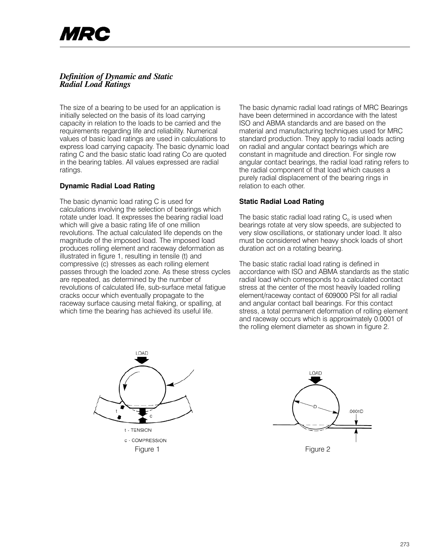# *Definition of Dynamic and Static Radial Load Ratings*

The size of a bearing to be used for an application is initially selected on the basis of its load carrying capacity in relation to the loads to be carried and the requirements regarding life and reliability. Numerical values of basic load ratings are used in calculations to express load carrying capacity. The basic dynamic load rating C and the basic static load rating Co are quoted in the bearing tables. All values expressed are radial ratings.

## **Dynamic Radial Load Rating**

The basic dynamic load rating C is used for calculations involving the selection of bearings which rotate under load. It expresses the bearing radial load which will give a basic rating life of one million revolutions. The actual calculated life depends on the magnitude of the imposed load. The imposed load produces rolling element and raceway deformation as illustrated in figure 1, resulting in tensile (t) and compressive (c) stresses as each rolling element passes through the loaded zone. As these stress cycles are repeated, as determined by the number of revolutions of calculated life, sub-surface metal fatigue cracks occur which eventually propagate to the raceway surface causing metal flaking, or spalling, at which time the bearing has achieved its useful life.

The basic dynamic radial load ratings of MRC Bearings have been determined in accordance with the latest ISO and ABMA standards and are based on the material and manufacturing techniques used for MRC standard production. They apply to radial loads acting on radial and angular contact bearings which are constant in magnitude and direction. For single row angular contact bearings, the radial load rating refers to the radial component of that load which causes a purely radial displacement of the bearing rings in relation to each other.

### **Static Radial Load Rating**

The basic static radial load rating  $C_0$  is used when bearings rotate at very slow speeds, are subjected to very slow oscillations, or stationary under load. It also must be considered when heavy shock loads of short duration act on a rotating bearing.

The basic static radial load rating is defined in accordance with ISO and ABMA standards as the static radial load which corresponds to a calculated contact stress at the center of the most heavily loaded rolling element/raceway contact of 609000 PSI for all radial and angular contact ball bearings. For this contact stress, a total permanent deformation of rolling element and raceway occurs which is approximately 0.0001 of the rolling element diameter as shown in figure 2.